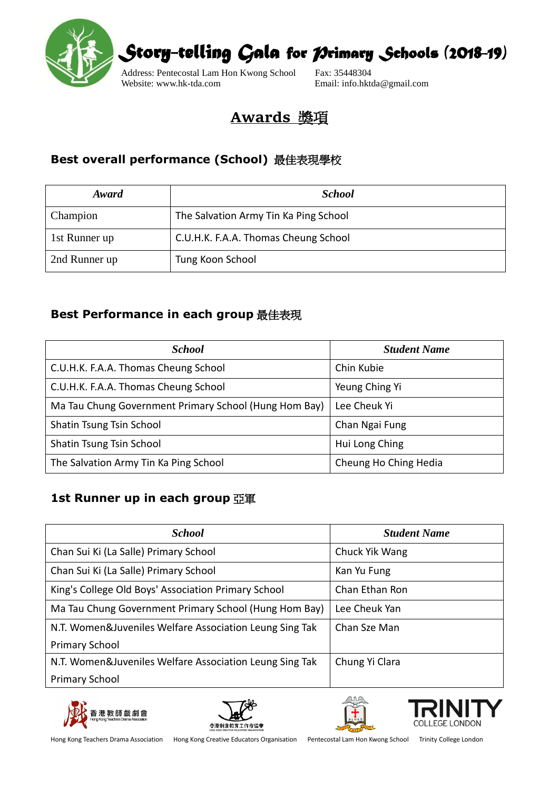

### **Awards** 獎項

#### **Best overall performance (School)** 最佳表現學校

| Award         | <b>School</b>                         |
|---------------|---------------------------------------|
| Champion      | The Salvation Army Tin Ka Ping School |
| 1st Runner up | C.U.H.K. F.A.A. Thomas Cheung School  |
| 2nd Runner up | Tung Koon School                      |

#### **Best Performance in each group** 最佳表現

| <b>School</b>                                         | <b>Student Name</b>   |
|-------------------------------------------------------|-----------------------|
| C.U.H.K. F.A.A. Thomas Cheung School                  | Chin Kubie            |
| C.U.H.K. F.A.A. Thomas Cheung School                  | Yeung Ching Yi        |
| Ma Tau Chung Government Primary School (Hung Hom Bay) | Lee Cheuk Yi          |
| Shatin Tsung Tsin School                              | Chan Ngai Fung        |
| Shatin Tsung Tsin School                              | Hui Long Ching        |
| The Salvation Army Tin Ka Ping School                 | Cheung Ho Ching Hedia |

#### **1st Runner up in each group** 亞軍

| <b>School</b>                                           | <b>Student Name</b> |
|---------------------------------------------------------|---------------------|
| Chan Sui Ki (La Salle) Primary School                   | Chuck Yik Wang      |
| Chan Sui Ki (La Salle) Primary School                   | Kan Yu Fung         |
| King's College Old Boys' Association Primary School     | Chan Ethan Ron      |
| Ma Tau Chung Government Primary School (Hung Hom Bay)   | Lee Cheuk Yan       |
| N.T. Women&Juveniles Welfare Association Leung Sing Tak | Chan Sze Man        |
| <b>Primary School</b>                                   |                     |
| N.T. Women&Juveniles Welfare Association Leung Sing Tak | Chung Yi Clara      |
| <b>Primary School</b>                                   |                     |







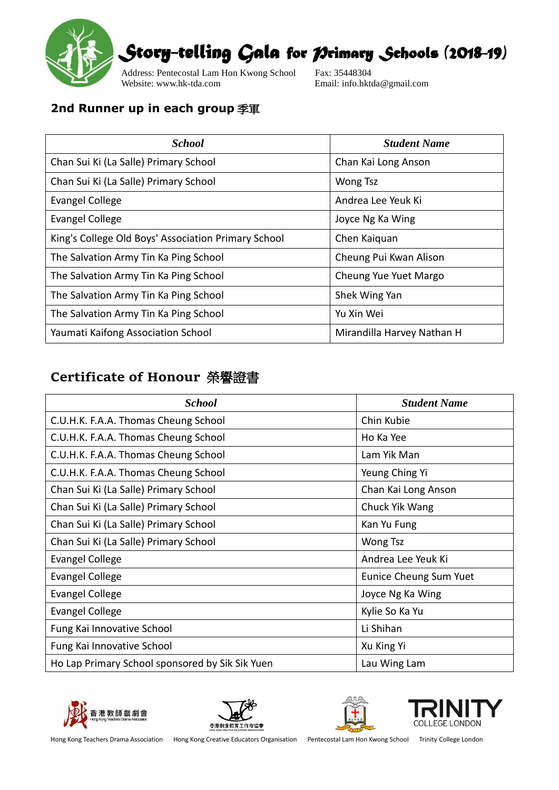

Address: Pentecostal Lam Hon Kwong School Fax: 35448304<br>Website: www.hk-tda.com Email: info.hkt

Email: info.hktda@gmail.com

#### **2nd Runner up in each group** 季軍

| <b>School</b>                                       | <b>Student Name</b>        |
|-----------------------------------------------------|----------------------------|
| Chan Sui Ki (La Salle) Primary School               | Chan Kai Long Anson        |
| Chan Sui Ki (La Salle) Primary School               | <b>Wong Tsz</b>            |
| <b>Evangel College</b>                              | Andrea Lee Yeuk Ki         |
| <b>Evangel College</b>                              | Joyce Ng Ka Wing           |
| King's College Old Boys' Association Primary School | Chen Kaiquan               |
| The Salvation Army Tin Ka Ping School               | Cheung Pui Kwan Alison     |
| The Salvation Army Tin Ka Ping School               | Cheung Yue Yuet Margo      |
| The Salvation Army Tin Ka Ping School               | Shek Wing Yan              |
| The Salvation Army Tin Ka Ping School               | Yu Xin Wei                 |
| Yaumati Kaifong Association School                  | Mirandilla Harvey Nathan H |

### **Certificate of Honour** 榮譽證書

| <b>School</b>                                   | <b>Student Name</b>    |
|-------------------------------------------------|------------------------|
| C.U.H.K. F.A.A. Thomas Cheung School            | Chin Kubie             |
| C.U.H.K. F.A.A. Thomas Cheung School            | Ho Ka Yee              |
| C.U.H.K. F.A.A. Thomas Cheung School            | Lam Yik Man            |
| C.U.H.K. F.A.A. Thomas Cheung School            | Yeung Ching Yi         |
| Chan Sui Ki (La Salle) Primary School           | Chan Kai Long Anson    |
| Chan Sui Ki (La Salle) Primary School           | Chuck Yik Wang         |
| Chan Sui Ki (La Salle) Primary School           | Kan Yu Fung            |
| Chan Sui Ki (La Salle) Primary School           | Wong Tsz               |
| Evangel College                                 | Andrea Lee Yeuk Ki     |
| <b>Evangel College</b>                          | Eunice Cheung Sum Yuet |
| <b>Evangel College</b>                          | Joyce Ng Ka Wing       |
| <b>Evangel College</b>                          | Kylie So Ka Yu         |
| Fung Kai Innovative School                      | Li Shihan              |
| Fung Kai Innovative School                      | Xu King Yi             |
| Ho Lap Primary School sponsored by Sik Sik Yuen | Lau Wing Lam           |







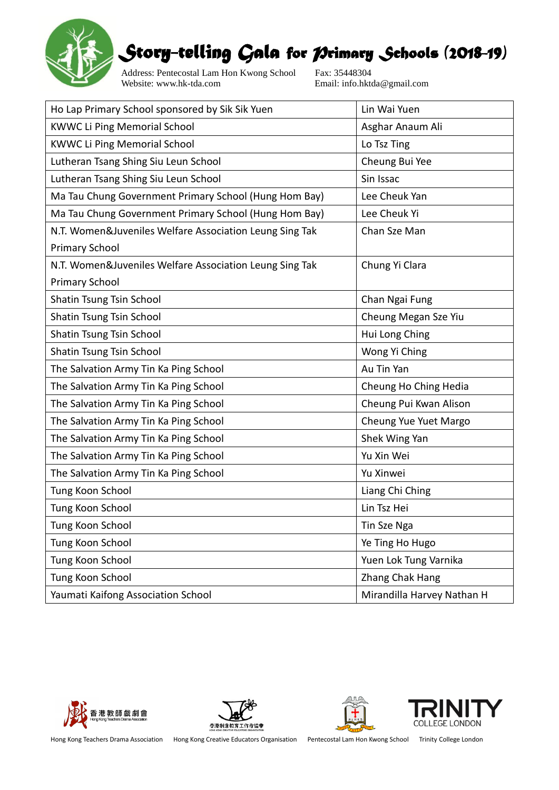

Address: Pentecostal Lam Hon Kwong School Fax: 35448304<br>Website: www.hk-tda.com Email: info.hkt

Email: info.hktda@gmail.com

| Ho Lap Primary School sponsored by Sik Sik Yuen         | Lin Wai Yuen               |
|---------------------------------------------------------|----------------------------|
| <b>KWWC Li Ping Memorial School</b>                     | Asghar Anaum Ali           |
| <b>KWWC Li Ping Memorial School</b>                     | Lo Tsz Ting                |
| Lutheran Tsang Shing Siu Leun School                    | Cheung Bui Yee             |
| Lutheran Tsang Shing Siu Leun School                    | Sin Issac                  |
| Ma Tau Chung Government Primary School (Hung Hom Bay)   | Lee Cheuk Yan              |
| Ma Tau Chung Government Primary School (Hung Hom Bay)   | Lee Cheuk Yi               |
| N.T. Women&Juveniles Welfare Association Leung Sing Tak | Chan Sze Man               |
| <b>Primary School</b>                                   |                            |
| N.T. Women&Juveniles Welfare Association Leung Sing Tak | Chung Yi Clara             |
| <b>Primary School</b>                                   |                            |
| Shatin Tsung Tsin School                                | Chan Ngai Fung             |
| Shatin Tsung Tsin School                                | Cheung Megan Sze Yiu       |
| Shatin Tsung Tsin School                                | Hui Long Ching             |
| Shatin Tsung Tsin School                                | Wong Yi Ching              |
| The Salvation Army Tin Ka Ping School                   | Au Tin Yan                 |
| The Salvation Army Tin Ka Ping School                   | Cheung Ho Ching Hedia      |
| The Salvation Army Tin Ka Ping School                   | Cheung Pui Kwan Alison     |
| The Salvation Army Tin Ka Ping School                   | Cheung Yue Yuet Margo      |
| The Salvation Army Tin Ka Ping School                   | Shek Wing Yan              |
| The Salvation Army Tin Ka Ping School                   | Yu Xin Wei                 |
| The Salvation Army Tin Ka Ping School                   | Yu Xinwei                  |
| Tung Koon School                                        | Liang Chi Ching            |
| Tung Koon School                                        | Lin Tsz Hei                |
| Tung Koon School                                        | Tin Sze Nga                |
| Tung Koon School                                        | Ye Ting Ho Hugo            |
| Tung Koon School                                        | Yuen Lok Tung Varnika      |
| Tung Koon School                                        | Zhang Chak Hang            |
| Yaumati Kaifong Association School                      | Mirandilla Harvey Nathan H |







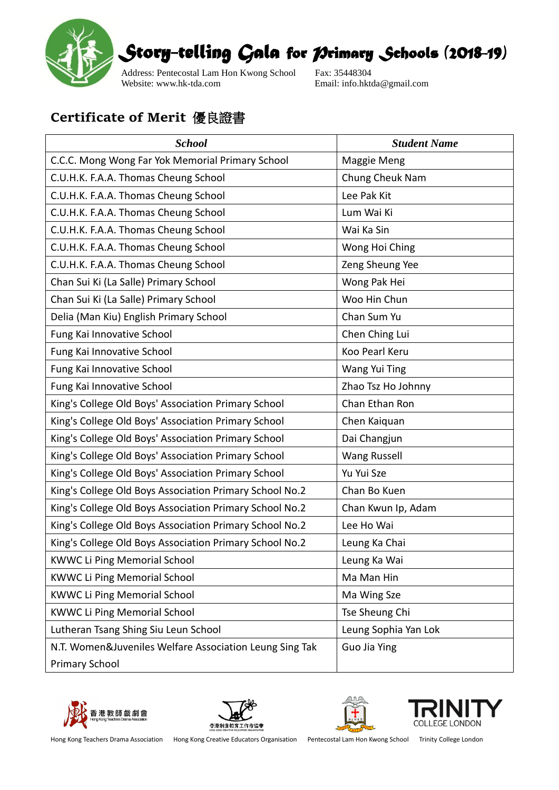

Address: Pentecostal Lam Hon Kwong School Fax: 35448304<br>Website: www.hk-tda.com Email: info.hkt

Email: info.hktda@gmail.com

### **Certificate of Merit** 優良證書

| <b>School</b>                                           | <b>Student Name</b>  |
|---------------------------------------------------------|----------------------|
| C.C.C. Mong Wong Far Yok Memorial Primary School        | Maggie Meng          |
| C.U.H.K. F.A.A. Thomas Cheung School                    | Chung Cheuk Nam      |
| C.U.H.K. F.A.A. Thomas Cheung School                    | Lee Pak Kit          |
| C.U.H.K. F.A.A. Thomas Cheung School                    | Lum Wai Ki           |
| C.U.H.K. F.A.A. Thomas Cheung School                    | Wai Ka Sin           |
| C.U.H.K. F.A.A. Thomas Cheung School                    | Wong Hoi Ching       |
| C.U.H.K. F.A.A. Thomas Cheung School                    | Zeng Sheung Yee      |
| Chan Sui Ki (La Salle) Primary School                   | Wong Pak Hei         |
| Chan Sui Ki (La Salle) Primary School                   | Woo Hin Chun         |
| Delia (Man Kiu) English Primary School                  | Chan Sum Yu          |
| Fung Kai Innovative School                              | Chen Ching Lui       |
| Fung Kai Innovative School                              | Koo Pearl Keru       |
| Fung Kai Innovative School                              | Wang Yui Ting        |
| Fung Kai Innovative School                              | Zhao Tsz Ho Johnny   |
| King's College Old Boys' Association Primary School     | Chan Ethan Ron       |
| King's College Old Boys' Association Primary School     | Chen Kaiquan         |
| King's College Old Boys' Association Primary School     | Dai Changjun         |
| King's College Old Boys' Association Primary School     | <b>Wang Russell</b>  |
| King's College Old Boys' Association Primary School     | Yu Yui Sze           |
| King's College Old Boys Association Primary School No.2 | Chan Bo Kuen         |
| King's College Old Boys Association Primary School No.2 | Chan Kwun Ip, Adam   |
| King's College Old Boys Association Primary School No.2 | Lee Ho Wai           |
| King's College Old Boys Association Primary School No.2 | Leung Ka Chai        |
| <b>KWWC Li Ping Memorial School</b>                     | Leung Ka Wai         |
| <b>KWWC Li Ping Memorial School</b>                     | Ma Man Hin           |
| <b>KWWC Li Ping Memorial School</b>                     | Ma Wing Sze          |
| <b>KWWC Li Ping Memorial School</b>                     | Tse Sheung Chi       |
| Lutheran Tsang Shing Siu Leun School                    | Leung Sophia Yan Lok |
| N.T. Women&Juveniles Welfare Association Leung Sing Tak | <b>Guo Jia Ying</b>  |
| <b>Primary School</b>                                   |                      |







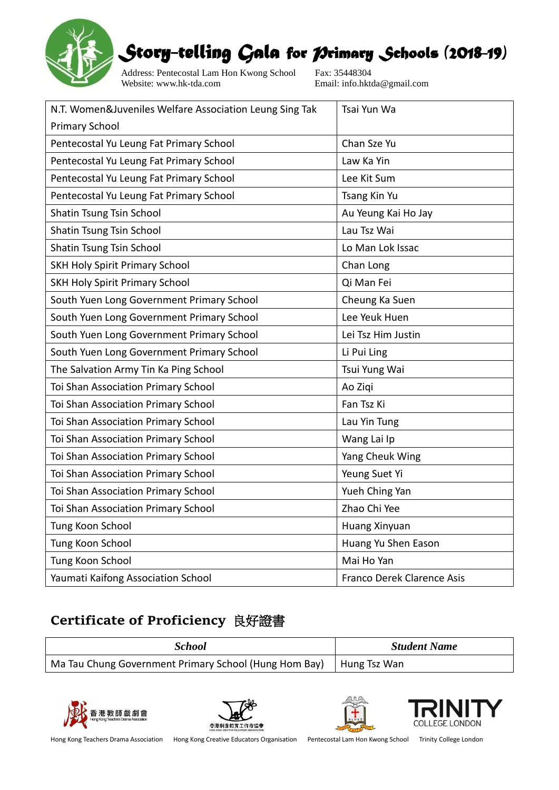

Address: Pentecostal Lam Hon Kwong School Fax: 35448304<br>Website: www.hk-tda.com Email: info.hkt

Email: info.hktda@gmail.com

| N.T. Women&Juveniles Welfare Association Leung Sing Tak | Tsai Yun Wa                |
|---------------------------------------------------------|----------------------------|
| <b>Primary School</b>                                   |                            |
| Pentecostal Yu Leung Fat Primary School                 | Chan Sze Yu                |
| Pentecostal Yu Leung Fat Primary School                 | Law Ka Yin                 |
| Pentecostal Yu Leung Fat Primary School                 | Lee Kit Sum                |
| Pentecostal Yu Leung Fat Primary School                 | Tsang Kin Yu               |
| Shatin Tsung Tsin School                                | Au Yeung Kai Ho Jay        |
| Shatin Tsung Tsin School                                | Lau Tsz Wai                |
| Shatin Tsung Tsin School                                | Lo Man Lok Issac           |
| <b>SKH Holy Spirit Primary School</b>                   | Chan Long                  |
| <b>SKH Holy Spirit Primary School</b>                   | Qi Man Fei                 |
| South Yuen Long Government Primary School               | Cheung Ka Suen             |
| South Yuen Long Government Primary School               | Lee Yeuk Huen              |
| South Yuen Long Government Primary School               | Lei Tsz Him Justin         |
| South Yuen Long Government Primary School               | Li Pui Ling                |
| The Salvation Army Tin Ka Ping School                   | Tsui Yung Wai              |
| Toi Shan Association Primary School                     | Ao Ziqi                    |
| Toi Shan Association Primary School                     | Fan Tsz Ki                 |
| Toi Shan Association Primary School                     | Lau Yin Tung               |
| Toi Shan Association Primary School                     | Wang Lai Ip                |
| Toi Shan Association Primary School                     | Yang Cheuk Wing            |
| Toi Shan Association Primary School                     | Yeung Suet Yi              |
| Toi Shan Association Primary School                     | Yueh Ching Yan             |
| Toi Shan Association Primary School                     | Zhao Chi Yee               |
| Tung Koon School                                        | Huang Xinyuan              |
| Tung Koon School                                        | Huang Yu Shen Eason        |
| Tung Koon School                                        | Mai Ho Yan                 |
| Yaumati Kaifong Association School                      | Franco Derek Clarence Asis |

### **Certificate of Proficiency** 良好證書

| School                                                | <b>Student Name</b> |
|-------------------------------------------------------|---------------------|
| Ma Tau Chung Government Primary School (Hung Hom Bay) | Hung Tsz Wan        |